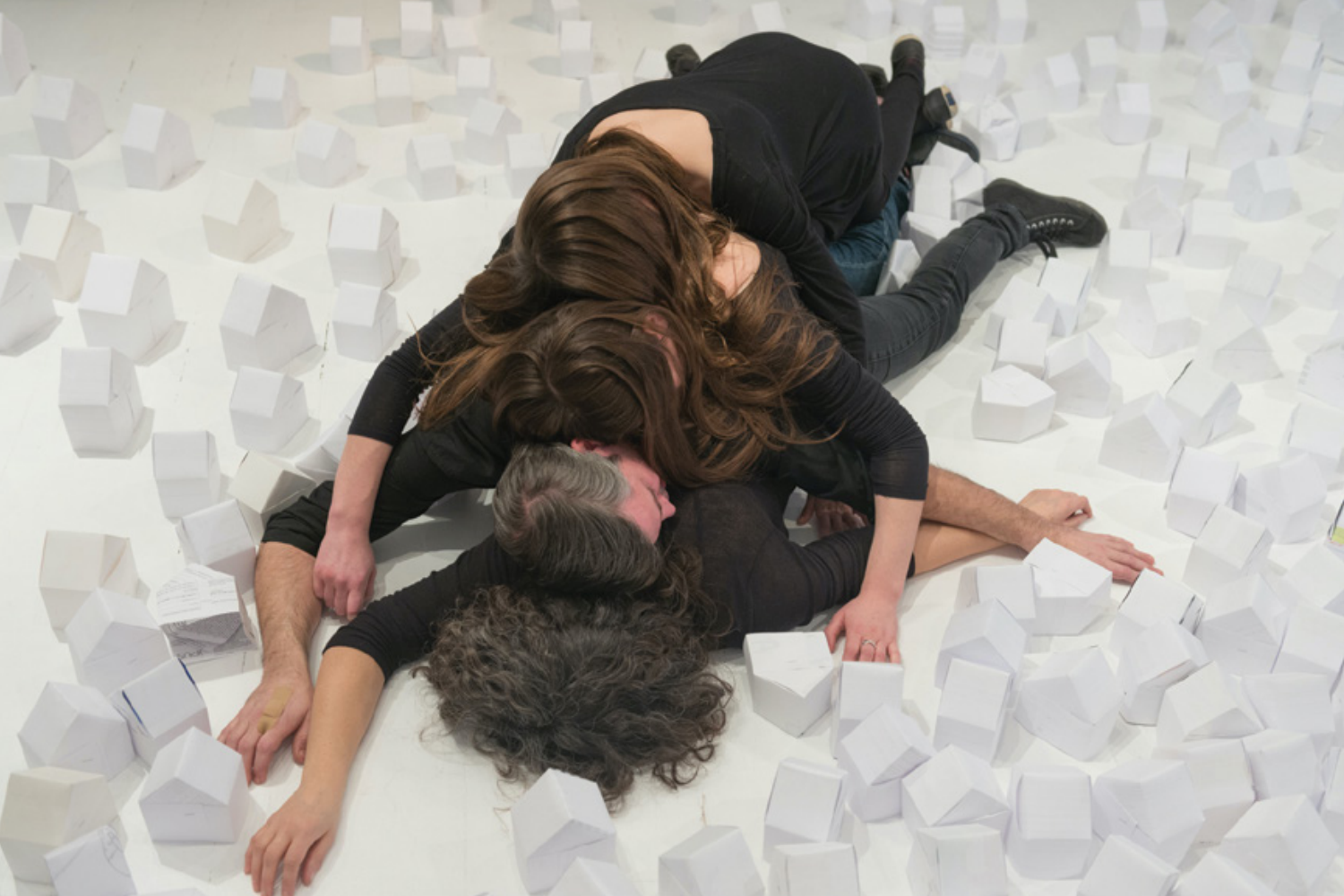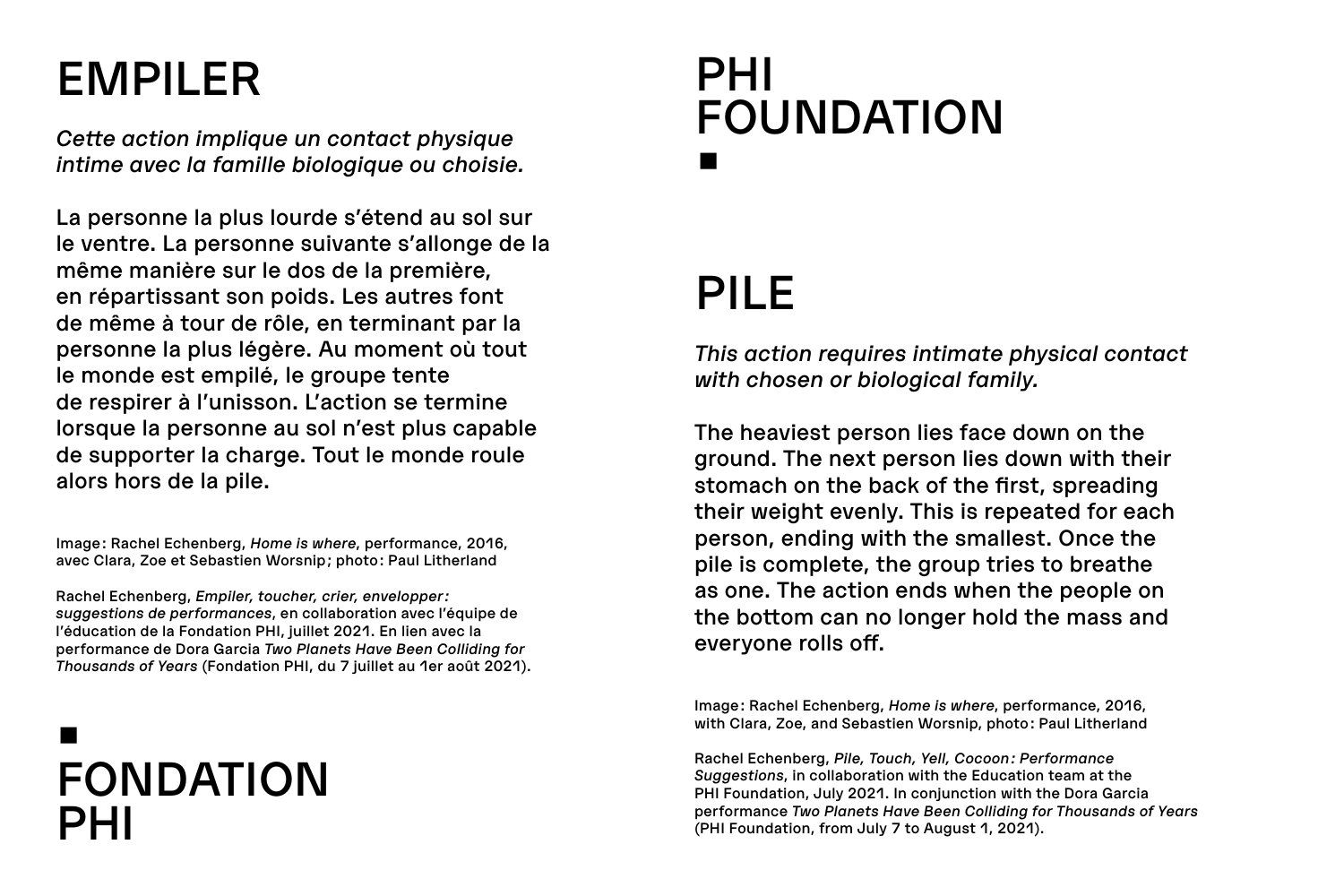# EMPILER

*Cette action implique un contact physique intime avec la famille biologique ou choisie.*

La personne la plus lourde s'étend au sol sur le ventre. La personne suivante s'allonge de la même manière sur le dos de la première, en répartissant son poids. Les autres font de même à tour de rôle, en terminant par la personne la plus légère. Au moment où tout le monde est empilé, le groupe tente de respirer à l'unisson. L'action se termine lorsque la personne au sol n'est plus capable de supporter la charge. Tout le monde roule alors hors de la pile.

Image: Rachel Echenberg, *Home is where*, performance, 2016, avec Clara, Zoe et Sebastien Worsnip; photo: Paul Litherland

Rachel Echenberg, *Empiler, toucher, crier, envelopper: suggestions de performances*, en collaboration avec l'équipe de l'éducation de la Fondation PHI, juillet 2021. En lien avec la performance de Dora Garcia *Two Planets Have Been Colliding for Thousands of Years* (Fondation PHI, du 7 juillet au 1er août 2021).

Q FONDATION PHI

### PHI FOUNDATION Q

# PILE

*This action requires intimate physical contact with chosen or biological family.*

The heaviest person lies face down on the ground. The next person lies down with their stomach on the back of the first, spreading their weight evenly. This is repeated for each person, ending with the smallest. Once the pile is complete, the group tries to breathe as one. The action ends when the people on the bottom can no longer hold the mass and everyone rolls off.

Image: Rachel Echenberg, *Home is where*, performance, 2016, with Clara, Zoe, and Sebastien Worsnip, photo: Paul Litherland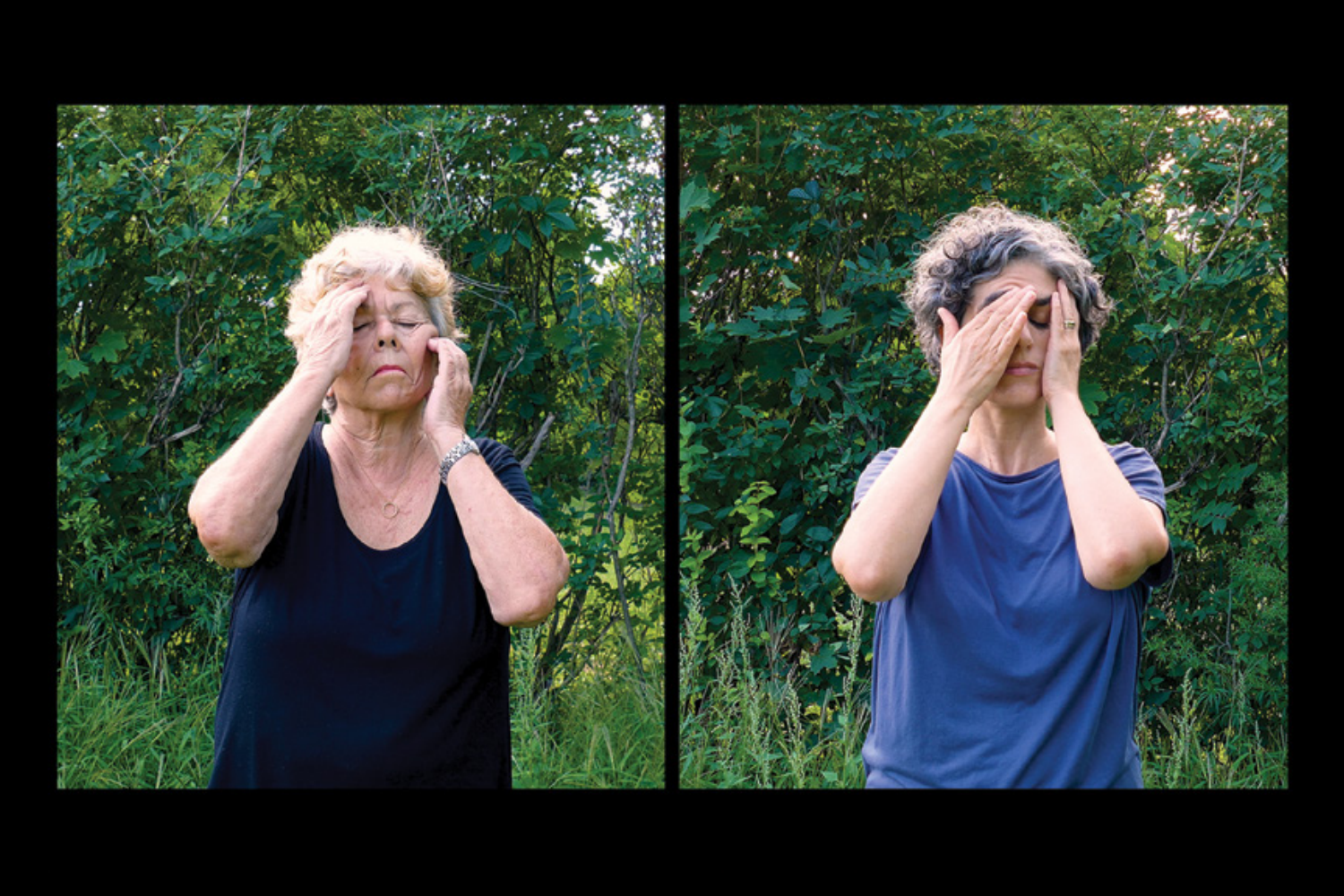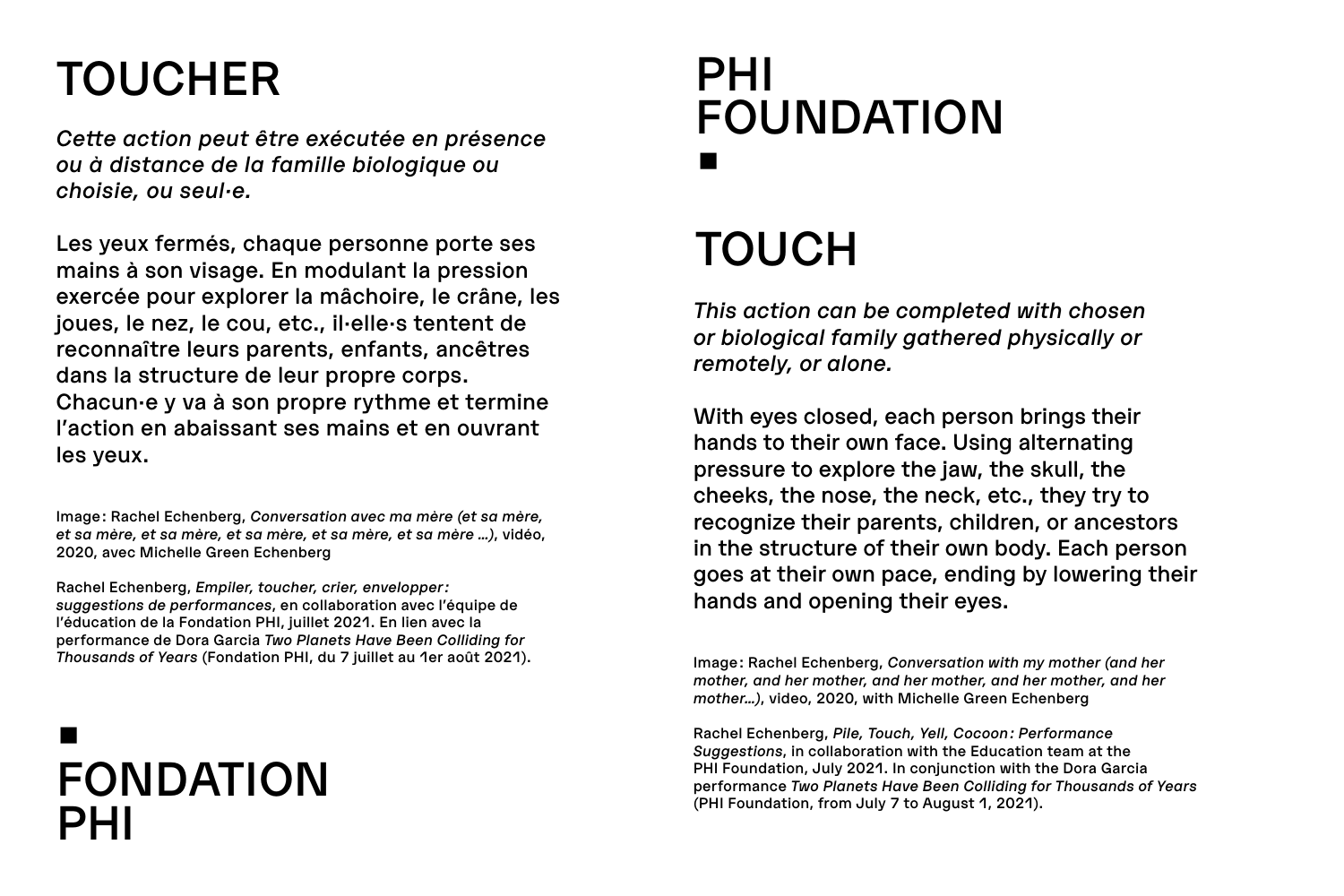# TOUCHER

*Cette action peut être exécutée en présence ou à distance de la famille biologique ou choisie, ou seul·e.*

Les yeux fermés, chaque personne porte ses mains à son visage. En modulant la pression exercée pour explorer la mâchoire, le crâne, les joues, le nez, le cou, etc., il·elle·s tentent de reconnaître leurs parents, enfants, ancêtres dans la structure de leur propre corps. Chacun·e y va à son propre rythme et termine l'action en abaissant ses mains et en ouvrant les yeux.

Image: Rachel Echenberg, *Conversation avec ma mère (et sa mère, et sa mère, et sa mère, et sa mère, et sa mère, et sa mère …)*, vidéo, 2020, avec Michelle Green Echenberg

Rachel Echenberg, *Empiler, toucher, crier, envelopper: suggestions de performances*, en collaboration avec l'équipe de l'éducation de la Fondation PHI, juillet 2021. En lien avec la performance de Dora Garcia *Two Planets Have Been Colliding for Thousands of Years* (Fondation PHI, du 7 juillet au 1er août 2021).

Q FONDATION PHI

### PHI FOUNDATION Q

# TOUCH

*This action can be completed with chosen or biological family gathered physically or remotely, or alone.*

With eyes closed, each person brings their hands to their own face. Using alternating pressure to explore the jaw, the skull, the cheeks, the nose, the neck, etc., they try to recognize their parents, children, or ancestors in the structure of their own body. Each person goes at their own pace, ending by lowering their hands and opening their eyes.

Image: Rachel Echenberg, *Conversation with my mother (and her mother, and her mother, and her mother, and her mother, and her mother…)*, video, 2020, with Michelle Green Echenberg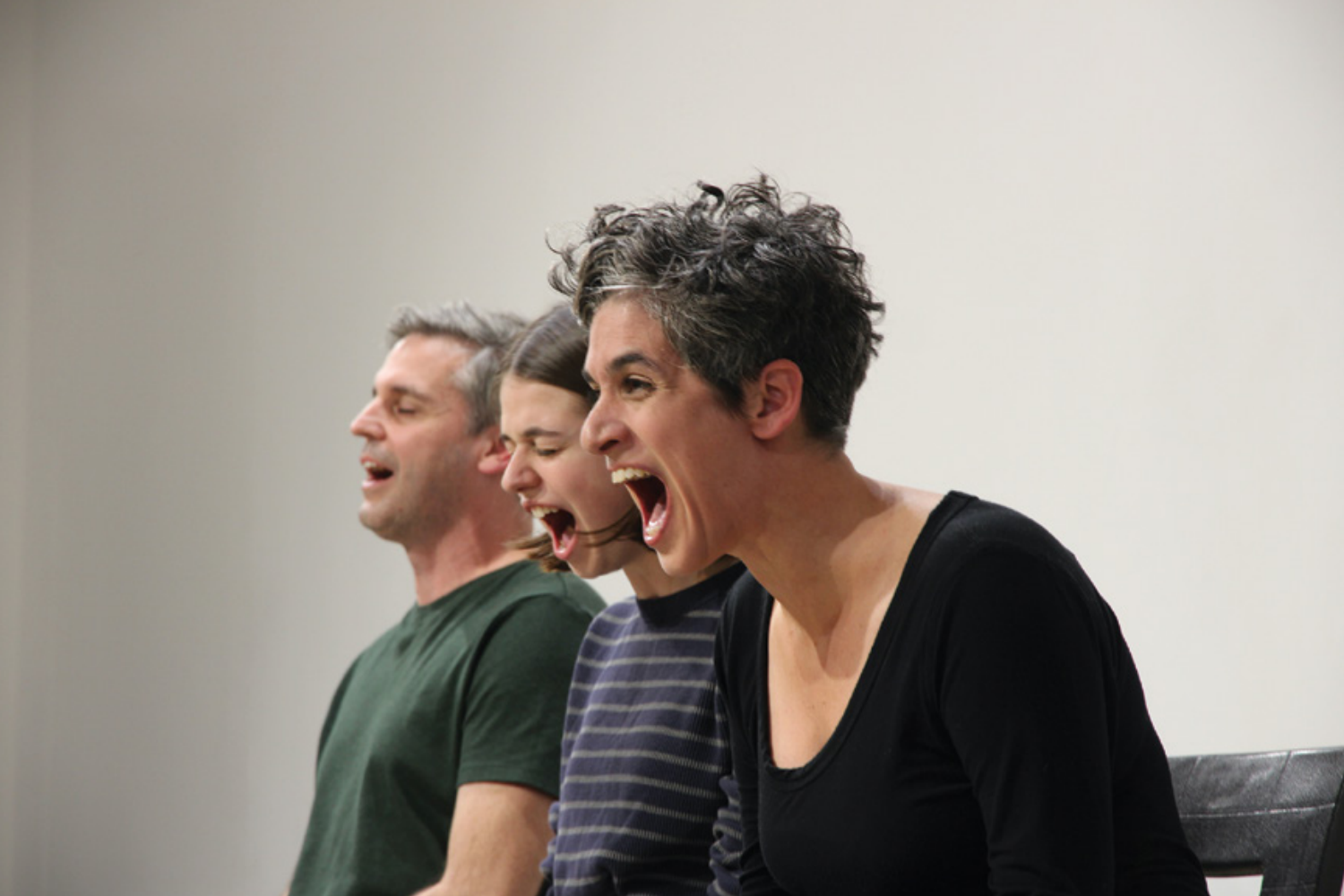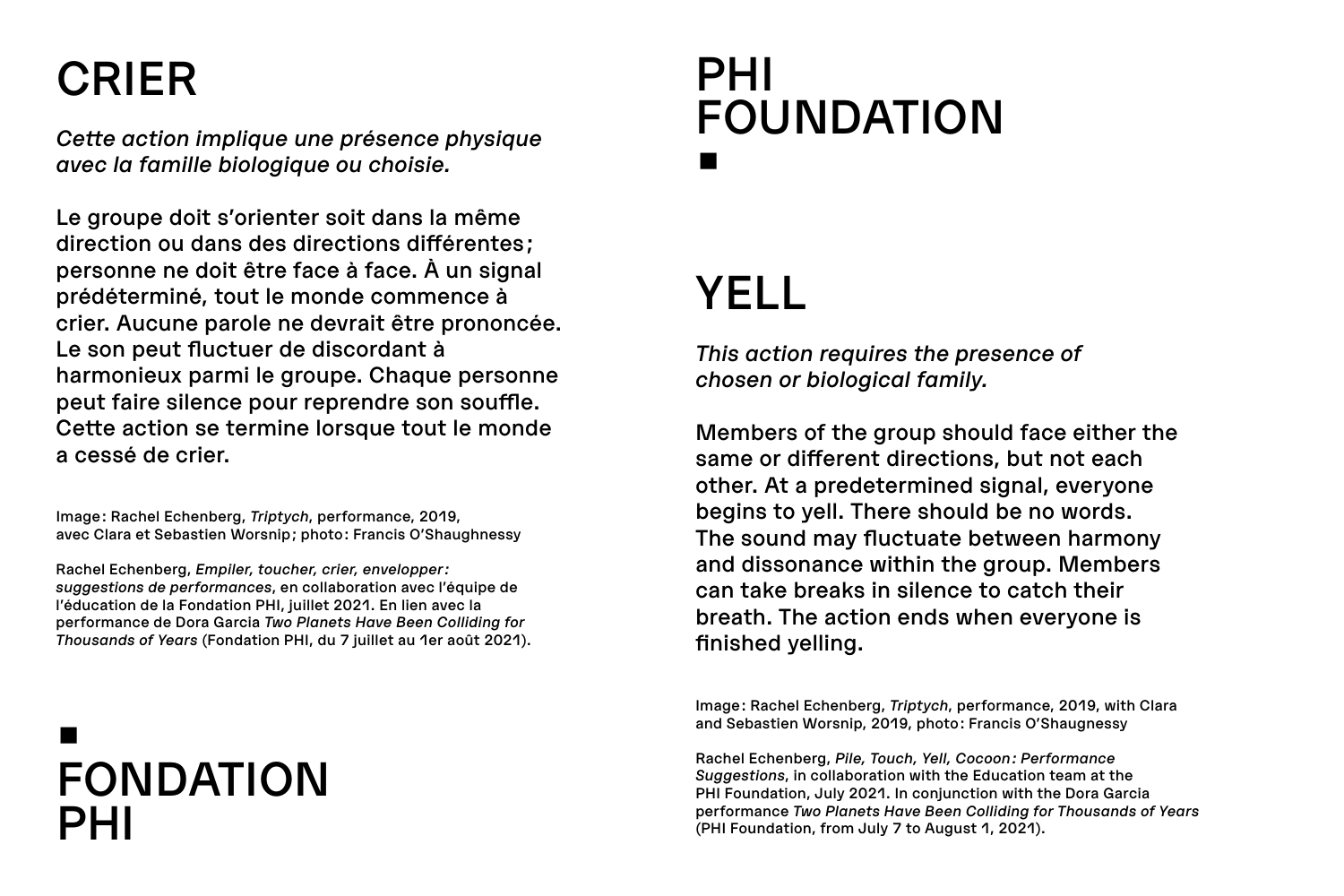### CRIER

*Cette action implique une présence physique avec la famille biologique ou choisie.*

Le groupe doit s'orienter soit dans la même direction ou dans des directions différentes ; personne ne doit être face à face. À un signal prédéterminé, tout le monde commence à crier. Aucune parole ne devrait être prononcée. Le son peut fluctuer de discordant à harmonieux parmi le groupe. Chaque personne peut faire silence pour reprendre son souffle. Cette action se termine lorsque tout le monde a cessé de crier.

Image: Rachel Echenberg, *Triptych*, performance, 2019, avec Clara et Sebastien Worsnip; photo: Francis O'Shaughnessy

Rachel Echenberg, *Empiler, toucher, crier, envelopper: suggestions de performances*, en collaboration avec l'équipe de l'éducation de la Fondation PHI, juillet 2021. En lien avec la performance de Dora Garcia *Two Planets Have Been Colliding for Thousands of Years* (Fondation PHI, du 7 juillet au 1er août 2021).

Q FONDATION PHI

### PHI FOUNDATION Q

# YELL

*This action requires the presence of chosen or biological family.* 

Members of the group should face either the same or different directions, but not each other. At a predetermined signal, everyone begins to yell. There should be no words. The sound may fluctuate between harmony and dissonance within the group. Members can take breaks in silence to catch their breath. The action ends when everyone is finished yelling.

Image: Rachel Echenberg, *Triptych*, performance, 2019, with Clara and Sebastien Worsnip, 2019, photo: Francis O'Shaugnessy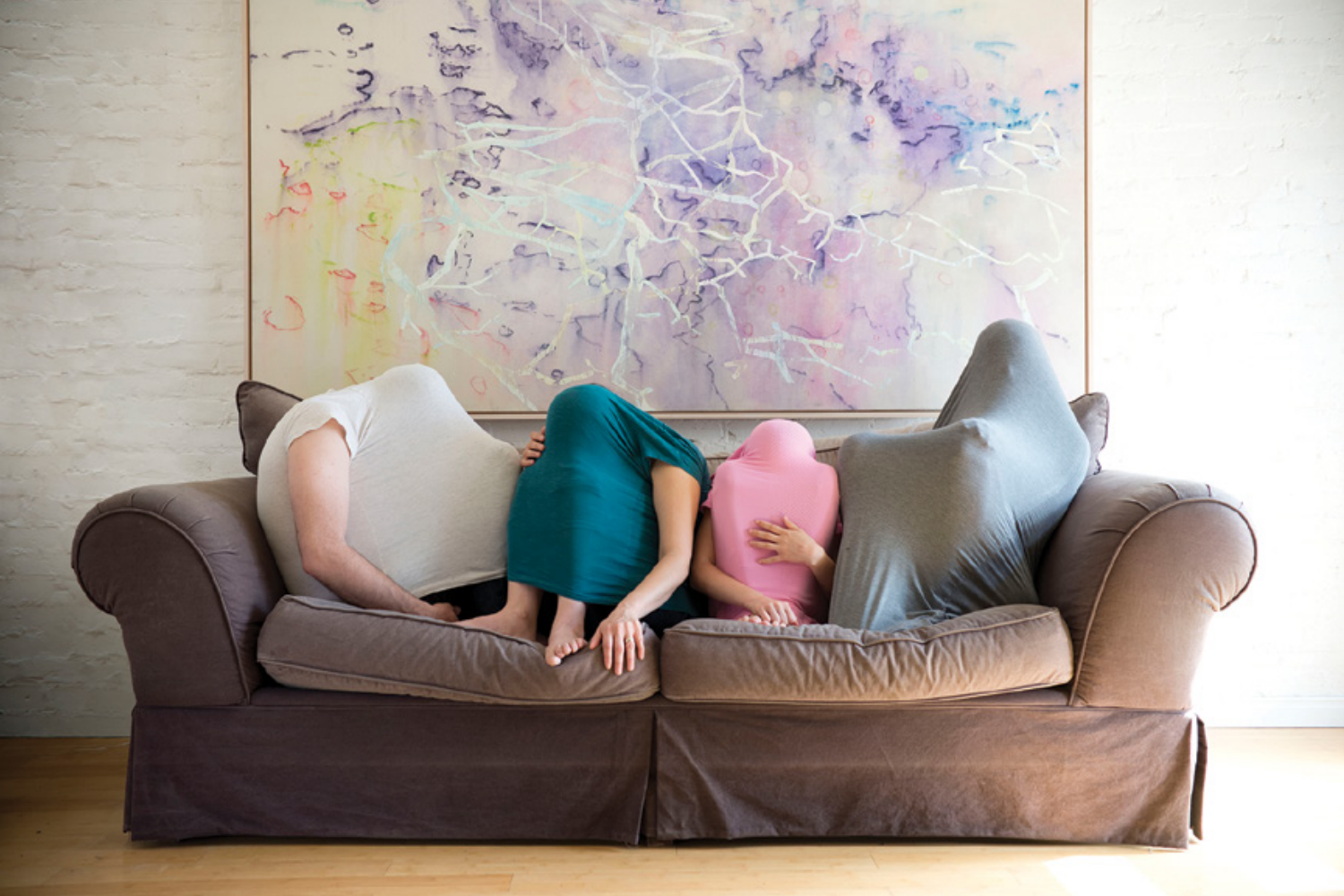